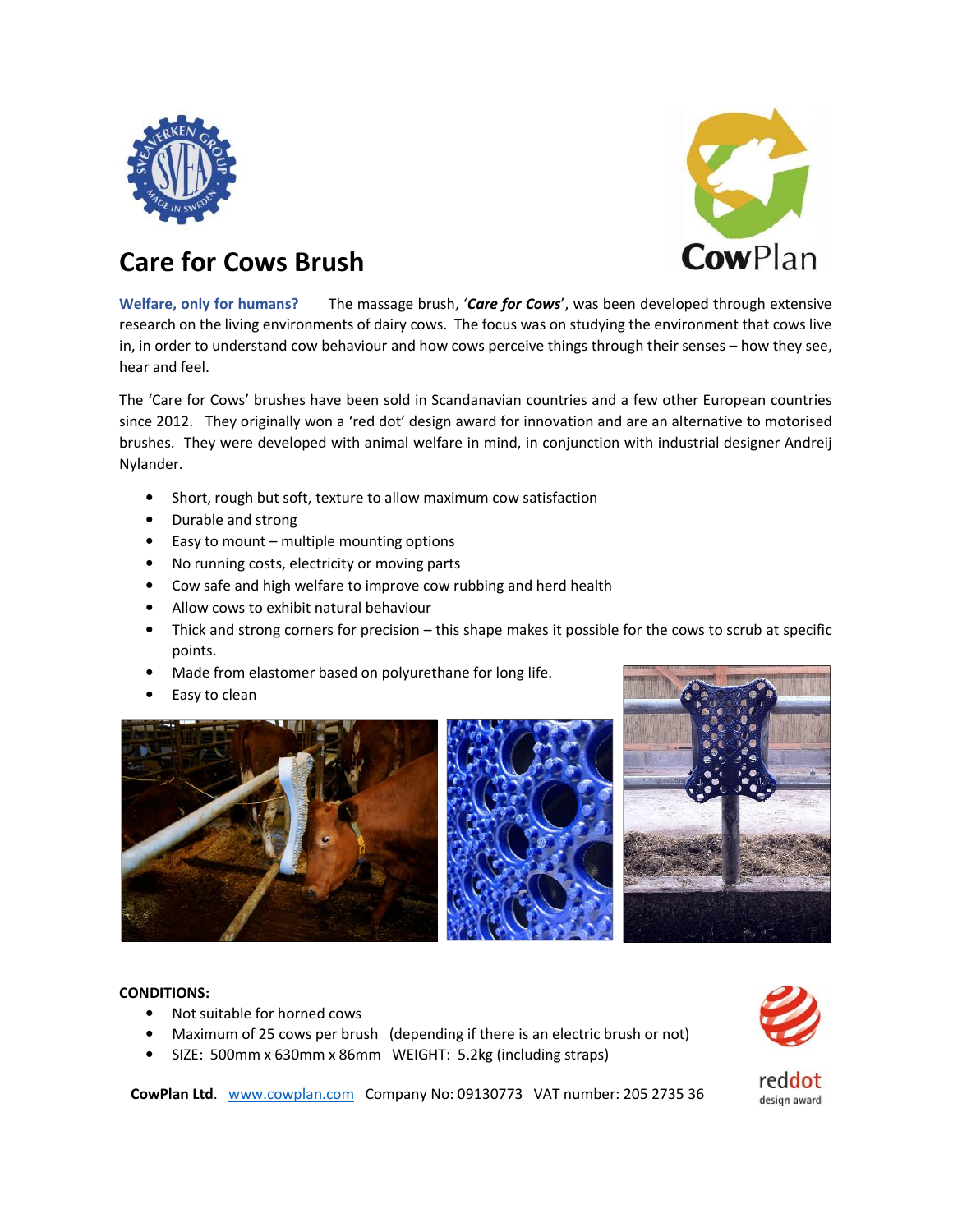



## **Care for Cows Brush**

**Welfare, only for humans?** The massage brush, '*Care for Cows*', was been developed through extensive research on the living environments of dairy cows. The focus was on studying the environment that cows live in, in order to understand cow behaviour and how cows perceive things through their senses – how they see, hear and feel.

The 'Care for Cows' brushes have been sold in Scandanavian countries and a few other European countries since 2012. They originally won a 'red dot' design award for innovation and are an alternative to motorised brushes. They were developed with animal welfare in mind, in conjunction with industrial designer Andreij Nylander.

- Short, rough but soft, texture to allow maximum cow satisfaction
- Durable and strong
- Easy to mount multiple mounting options
- No running costs, electricity or moving parts
- Cow safe and high welfare to improve cow rubbing and herd health
- Allow cows to exhibit natural behaviour
- Thick and strong corners for precision this shape makes it possible for the cows to scrub at specific points.
- Made from elastomer based on polyurethane for long life.
- Easy to clean





## **CONDITIONS:**

- Not suitable for horned cows
- Maximum of 25 cows per brush (depending if there is an electric brush or not)
- SIZE: 500mm x 630mm x 86mm WEIGHT: 5.2kg (including straps)



**CowPlan Ltd**. www.cowplan.com Company No: 09130773 VAT number: 205 2735 36